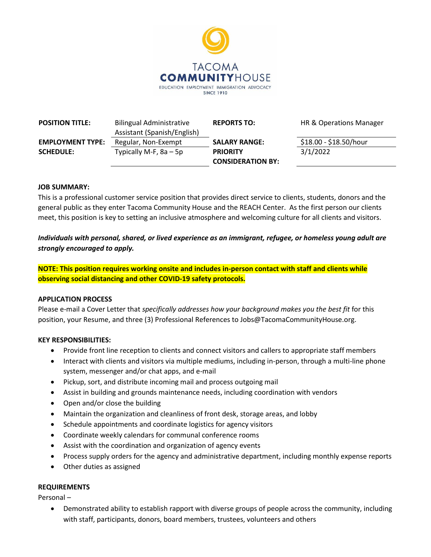

| <b>POSITION TITLE:</b>  | <b>Bilingual Administrative</b><br>Assistant (Spanish/English) | <b>REPORTS TO:</b>                          | HR & Operations Manager |
|-------------------------|----------------------------------------------------------------|---------------------------------------------|-------------------------|
| <b>EMPLOYMENT TYPE:</b> | Regular, Non-Exempt                                            | <b>SALARY RANGE:</b>                        | \$18.00 - \$18.50/hour  |
| <b>SCHEDULE:</b>        | Typically M-F, $8a - 5p$                                       | <b>PRIORITY</b><br><b>CONSIDERATION BY:</b> | 3/1/2022                |

#### **JOB SUMMARY:**

This is a professional customer service position that provides direct service to clients, students, donors and the general public as they enter Tacoma Community House and the REACH Center. As the first person our clients meet, this position is key to setting an inclusive atmosphere and welcoming culture for all clients and visitors.

# *Individuals with personal, shared, or lived experience as an immigrant, refugee, or homeless young adult are strongly encouraged to apply.*

**NOTE: This position requires working onsite and includes in-person contact with staff and clients while observing social distancing and other COVID-19 safety protocols.**

## **APPLICATION PROCESS**

Please e-mail a Cover Letter that *specifically addresses how your background makes you the best fit* for this position, your Resume, and three (3) Professional References to Jobs@TacomaCommunityHouse.org.

#### **KEY RESPONSIBILITIES:**

- Provide front line reception to clients and connect visitors and callers to appropriate staff members
- Interact with clients and visitors via multiple mediums, including in-person, through a multi-line phone system, messenger and/or chat apps, and e-mail
- Pickup, sort, and distribute incoming mail and process outgoing mail
- Assist in building and grounds maintenance needs, including coordination with vendors
- Open and/or close the building
- Maintain the organization and cleanliness of front desk, storage areas, and lobby
- Schedule appointments and coordinate logistics for agency visitors
- Coordinate weekly calendars for communal conference rooms
- Assist with the coordination and organization of agency events
- Process supply orders for the agency and administrative department, including monthly expense reports
- Other duties as assigned

#### **REQUIREMENTS**

Personal –

 Demonstrated ability to establish rapport with diverse groups of people across the community, including with staff, participants, donors, board members, trustees, volunteers and others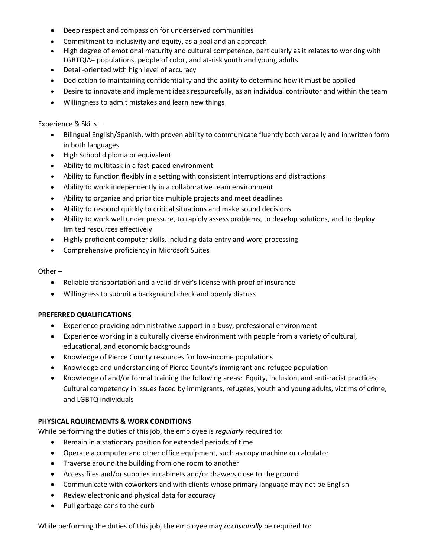- Deep respect and compassion for underserved communities
- Commitment to inclusivity and equity, as a goal and an approach
- High degree of emotional maturity and cultural competence, particularly as it relates to working with LGBTQIA+ populations, people of color, and at-risk youth and young adults
- Detail-oriented with high level of accuracy
- Dedication to maintaining confidentiality and the ability to determine how it must be applied
- Desire to innovate and implement ideas resourcefully, as an individual contributor and within the team
- Willingness to admit mistakes and learn new things

Experience & Skills –

- Bilingual English/Spanish, with proven ability to communicate fluently both verbally and in written form in both languages
- High School diploma or equivalent
- Ability to multitask in a fast-paced environment
- Ability to function flexibly in a setting with consistent interruptions and distractions
- Ability to work independently in a collaborative team environment
- Ability to organize and prioritize multiple projects and meet deadlines
- Ability to respond quickly to critical situations and make sound decisions
- Ability to work well under pressure, to rapidly assess problems, to develop solutions, and to deploy limited resources effectively
- Highly proficient computer skills, including data entry and word processing
- Comprehensive proficiency in Microsoft Suites

Other –

- Reliable transportation and a valid driver's license with proof of insurance
- Willingness to submit a background check and openly discuss

## **PREFERRED QUALIFICATIONS**

- Experience providing administrative support in a busy, professional environment
- Experience working in a culturally diverse environment with people from a variety of cultural, educational, and economic backgrounds
- Knowledge of Pierce County resources for low-income populations
- Knowledge and understanding of Pierce County's immigrant and refugee population
- Knowledge of and/or formal training the following areas: Equity, inclusion, and anti-racist practices; Cultural competency in issues faced by immigrants, refugees, youth and young adults, victims of crime, and LGBTQ individuals

## **PHYSICAL RQUIREMENTS & WORK CONDITIONS**

While performing the duties of this job, the employee is *regularly* required to:

- Remain in a stationary position for extended periods of time
- Operate a computer and other office equipment, such as copy machine or calculator
- Traverse around the building from one room to another
- Access files and/or supplies in cabinets and/or drawers close to the ground
- Communicate with coworkers and with clients whose primary language may not be English
- Review electronic and physical data for accuracy
- Pull garbage cans to the curb

While performing the duties of this job, the employee may *occasionally* be required to: